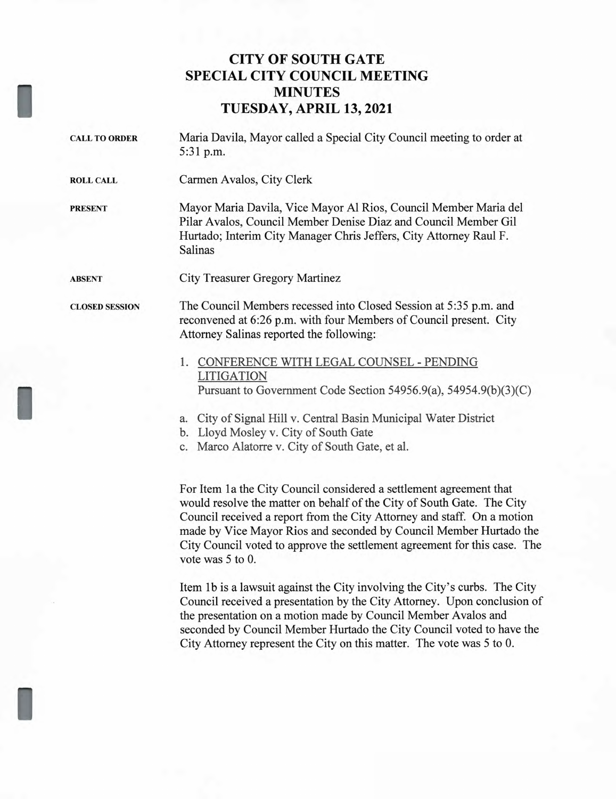## **CITY OF SOUTH GATE SPECIAL CITY COUNCIL MEETING MINUTES TUESDAY, APRIL 13, 2021**

- **CALL TO ORDER** Maria Davila, Mayor called a Special City Council meeting to order at 5:31 p.m. **ROLL CALL** Carmen Avalos, City Clerk **PRESENT** Mayor Maria Davila, Vice Mayor Al Rios, Council Member Maria del Pilar Avalos, Council Member Denise Diaz and Council Member Gil Hurtado; Interim City Manager Chris Jeffers, City Attorney Raul F. Salinas **ABSENT** City Treasurer Gregory Martinez **CLOSED SESSION** The Council Members recessed into Closed Session at 5:35 p.m. and reconvened at 6:26 p.m. with four Members of Council present. City Attorney Salinas reported the following: 1. CONFERENCE WITH LEGAL COUNSEL - PENDING LITIGATION Pursuant to Government Code Section 54956.9(a), 54954.9(b)(3)(C)
	- a. City of Signal Hill v. Central Basin Municipal Water District
	- b. Lloyd Mosley v. City of South Gate

I

c. Marco Alatorre v. City of South Gate, et al.

For Item la the City Council considered a settlement agreement that would resolve the matter on behalf of the City of South Gate. The City Council received a report from the City Attorney and staff. On a motion made by Vice Mayor Rios and seconded by Council Member Hurtado the City Council voted to approve the settlement agreement for this case. The vote was 5 to 0.

Item lb is a lawsuit against the City involving the City's curbs. The City Council received a presentation by the City Attorney. Upon conclusion of the presentation on a motion made by Council Member Avalos and seconded by Council Member Hurtado the City Council voted to have the City Attorney represent the City on this matter. The vote was 5 to 0.